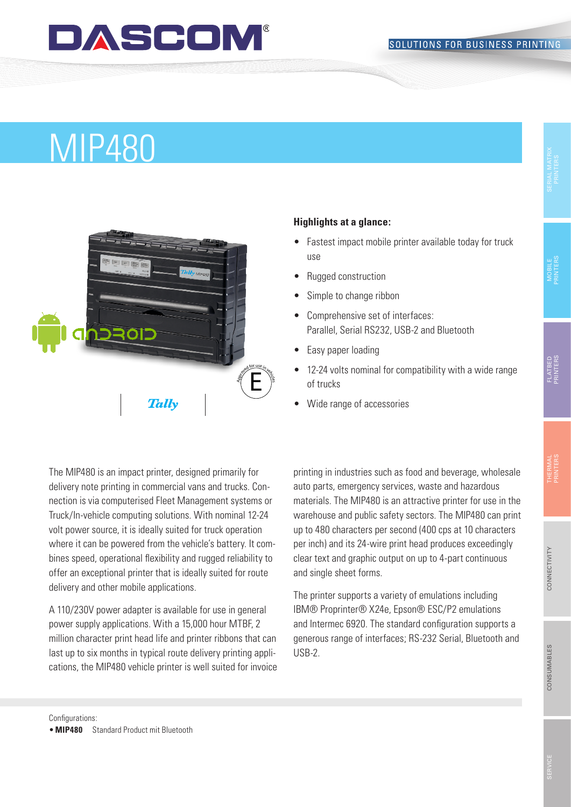### DASCOM

#### SOLUTIONS FOR BUSINESS PRINTING

## MIP480



#### **Highlights at a glance:**

- Fastest impact mobile printer available today for truck use
- Rugged construction
- Simple to change ribbon
- Comprehensive set of interfaces: Parallel, Serial RS232, USB-2 and Bluetooth
- Easy paper loading
- 12-24 volts nominal for compatibility with a wide range of trucks
- Wide range of accessories

The MIP480 is an impact printer, designed primarily for delivery note printing in commercial vans and trucks. Connection is via computerised Fleet Management systems or Truck/In-vehicle computing solutions. With nominal 12-24 volt power source, it is ideally suited for truck operation where it can be powered from the vehicle's battery. It combines speed, operational flexibility and rugged reliability to offer an exceptional printer that is ideally suited for route delivery and other mobile applications.

A 110/230V power adapter is available for use in general power supply applications. With a 15,000 hour MTBF, 2 million character print head life and printer ribbons that can last up to six months in typical route delivery printing applications, the MIP480 vehicle printer is well suited for invoice printing in industries such as food and beverage, wholesale auto parts, emergency services, waste and hazardous materials. The MIP480 is an attractive printer for use in the warehouse and public safety sectors. The MIP480 can print up to 480 characters per second (400 cps at 10 characters per inch) and its 24-wire print head produces exceedingly clear text and graphic output on up to 4-part continuous and single sheet forms.

The printer supports a variety of emulations including IBM® Proprinter® X24e, Epson® ESC/P2 emulations and Intermec 6920. The standard configuration supports a generous range of interfaces; RS-232 Serial, Bluetooth and USB-2.